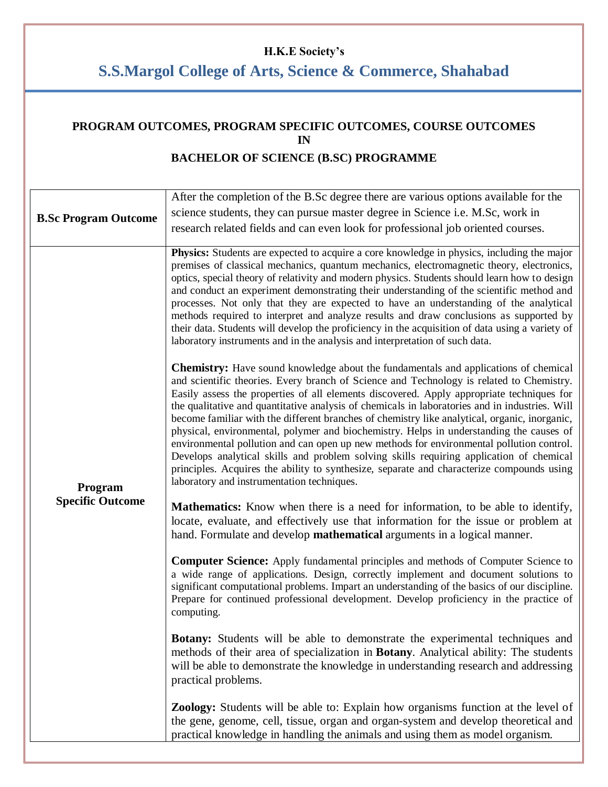## **H.K.E Society's**

# **S.S.Margol College of Arts, Science & Commerce, Shahabad**

## **PROGRAM OUTCOMES, PROGRAM SPECIFIC OUTCOMES, COURSE OUTCOMES IN BACHELOR OF SCIENCE (B.SC) PROGRAMME**

| <b>B.Sc Program Outcome</b>        | After the completion of the B.Sc degree there are various options available for the<br>science students, they can pursue master degree in Science i.e. M.Sc, work in<br>research related fields and can even look for professional job oriented courses.                                                                                                                                                                                                                                                                                                                                                                                                                                                                                                                                                                                                                                                            |
|------------------------------------|---------------------------------------------------------------------------------------------------------------------------------------------------------------------------------------------------------------------------------------------------------------------------------------------------------------------------------------------------------------------------------------------------------------------------------------------------------------------------------------------------------------------------------------------------------------------------------------------------------------------------------------------------------------------------------------------------------------------------------------------------------------------------------------------------------------------------------------------------------------------------------------------------------------------|
| Program<br><b>Specific Outcome</b> | <b>Physics:</b> Students are expected to acquire a core knowledge in physics, including the major<br>premises of classical mechanics, quantum mechanics, electromagnetic theory, electronics,<br>optics, special theory of relativity and modern physics. Students should learn how to design<br>and conduct an experiment demonstrating their understanding of the scientific method and<br>processes. Not only that they are expected to have an understanding of the analytical<br>methods required to interpret and analyze results and draw conclusions as supported by<br>their data. Students will develop the proficiency in the acquisition of data using a variety of<br>laboratory instruments and in the analysis and interpretation of such data.                                                                                                                                                      |
|                                    | <b>Chemistry:</b> Have sound knowledge about the fundamentals and applications of chemical<br>and scientific theories. Every branch of Science and Technology is related to Chemistry.<br>Easily assess the properties of all elements discovered. Apply appropriate techniques for<br>the qualitative and quantitative analysis of chemicals in laboratories and in industries. Will<br>become familiar with the different branches of chemistry like analytical, organic, inorganic,<br>physical, environmental, polymer and biochemistry. Helps in understanding the causes of<br>environmental pollution and can open up new methods for environmental pollution control.<br>Develops analytical skills and problem solving skills requiring application of chemical<br>principles. Acquires the ability to synthesize, separate and characterize compounds using<br>laboratory and instrumentation techniques. |
|                                    | <b>Mathematics:</b> Know when there is a need for information, to be able to identify,<br>locate, evaluate, and effectively use that information for the issue or problem at<br>hand. Formulate and develop mathematical arguments in a logical manner.                                                                                                                                                                                                                                                                                                                                                                                                                                                                                                                                                                                                                                                             |
|                                    | <b>Computer Science:</b> Apply fundamental principles and methods of Computer Science to<br>a wide range of applications. Design, correctly implement and document solutions to<br>significant computational problems. Impart an understanding of the basics of our discipline.<br>Prepare for continued professional development. Develop proficiency in the practice of<br>computing.                                                                                                                                                                                                                                                                                                                                                                                                                                                                                                                             |
|                                    | <b>Botany:</b> Students will be able to demonstrate the experimental techniques and<br>methods of their area of specialization in Botany. Analytical ability: The students<br>will be able to demonstrate the knowledge in understanding research and addressing<br>practical problems.                                                                                                                                                                                                                                                                                                                                                                                                                                                                                                                                                                                                                             |
|                                    | Zoology: Students will be able to: Explain how organisms function at the level of<br>the gene, genome, cell, tissue, organ and organ-system and develop theoretical and<br>practical knowledge in handling the animals and using them as model organism.                                                                                                                                                                                                                                                                                                                                                                                                                                                                                                                                                                                                                                                            |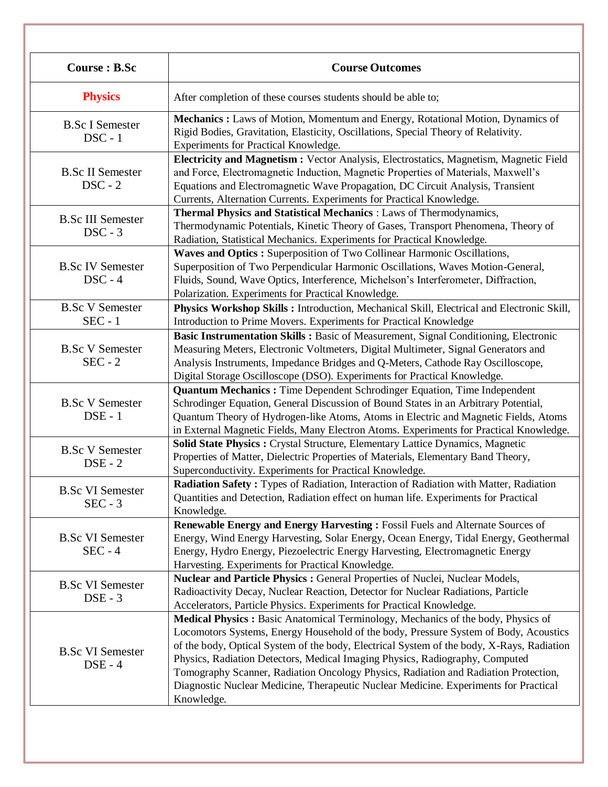| <b>Course : B.Sc</b>                  | <b>Course Outcomes</b>                                                                                                                                                                                                                                                                                                                                                                                                                                                                                                                              |
|---------------------------------------|-----------------------------------------------------------------------------------------------------------------------------------------------------------------------------------------------------------------------------------------------------------------------------------------------------------------------------------------------------------------------------------------------------------------------------------------------------------------------------------------------------------------------------------------------------|
| <b>Physics</b>                        | After completion of these courses students should be able to;                                                                                                                                                                                                                                                                                                                                                                                                                                                                                       |
| <b>B.Sc I Semester</b><br>$DSC - 1$   | Mechanics : Laws of Motion, Momentum and Energy, Rotational Motion, Dynamics of<br>Rigid Bodies, Gravitation, Elasticity, Oscillations, Special Theory of Relativity.<br>Experiments for Practical Knowledge.                                                                                                                                                                                                                                                                                                                                       |
| <b>B.Sc II Semester</b><br>$DSC - 2$  | Electricity and Magnetism : Vector Analysis, Electrostatics, Magnetism, Magnetic Field<br>and Force, Electromagnetic Induction, Magnetic Properties of Materials, Maxwell's<br>Equations and Electromagnetic Wave Propagation, DC Circuit Analysis, Transient<br>Currents, Alternation Currents. Experiments for Practical Knowledge.                                                                                                                                                                                                               |
| <b>B.Sc III Semester</b><br>$DSC - 3$ | Thermal Physics and Statistical Mechanics : Laws of Thermodynamics,<br>Thermodynamic Potentials, Kinetic Theory of Gases, Transport Phenomena, Theory of<br>Radiation, Statistical Mechanics. Experiments for Practical Knowledge.                                                                                                                                                                                                                                                                                                                  |
| <b>B.Sc IV Semester</b><br>$DSC - 4$  | Waves and Optics : Superposition of Two Collinear Harmonic Oscillations,<br>Superposition of Two Perpendicular Harmonic Oscillations, Waves Motion-General,<br>Fluids, Sound, Wave Optics, Interference, Michelson's Interferometer, Diffraction,<br>Polarization. Experiments for Practical Knowledge.                                                                                                                                                                                                                                             |
| <b>B.Sc V Semester</b><br>$SEC - 1$   | Physics Workshop Skills: Introduction, Mechanical Skill, Electrical and Electronic Skill,<br>Introduction to Prime Movers. Experiments for Practical Knowledge                                                                                                                                                                                                                                                                                                                                                                                      |
| <b>B.Sc V Semester</b><br>$SEC - 2$   | Basic Instrumentation Skills : Basic of Measurement, Signal Conditioning, Electronic<br>Measuring Meters, Electronic Voltmeters, Digital Multimeter, Signal Generators and<br>Analysis Instruments, Impedance Bridges and Q-Meters, Cathode Ray Oscilloscope,<br>Digital Storage Oscilloscope (DSO). Experiments for Practical Knowledge.                                                                                                                                                                                                           |
| <b>B.Sc V Semester</b><br>$DSE - 1$   | Quantum Mechanics : Time Dependent Schrodinger Equation, Time Independent<br>Schrodinger Equation, General Discussion of Bound States in an Arbitrary Potential,<br>Quantum Theory of Hydrogen-like Atoms, Atoms in Electric and Magnetic Fields, Atoms<br>in External Magnetic Fields, Many Electron Atoms. Experiments for Practical Knowledge.                                                                                                                                                                                                   |
| <b>B.Sc V Semester</b><br>$DSE - 2$   | Solid State Physics : Crystal Structure, Elementary Lattice Dynamics, Magnetic<br>Properties of Matter, Dielectric Properties of Materials, Elementary Band Theory,<br>Superconductivity. Experiments for Practical Knowledge.                                                                                                                                                                                                                                                                                                                      |
| <b>B.Sc VI Semester</b><br>$SEC - 3$  | Radiation Safety: Types of Radiation, Interaction of Radiation with Matter, Radiation<br>Quantities and Detection, Radiation effect on human life. Experiments for Practical<br>Knowledge.                                                                                                                                                                                                                                                                                                                                                          |
| <b>B.Sc VI Semester</b><br>$SEC - 4$  | <b>Renewable Energy and Energy Harvesting: Fossil Fuels and Alternate Sources of</b><br>Energy, Wind Energy Harvesting, Solar Energy, Ocean Energy, Tidal Energy, Geothermal<br>Energy, Hydro Energy, Piezoelectric Energy Harvesting, Electromagnetic Energy<br>Harvesting. Experiments for Practical Knowledge.                                                                                                                                                                                                                                   |
| <b>B.Sc VI Semester</b><br>$DSE - 3$  | Nuclear and Particle Physics : General Properties of Nuclei, Nuclear Models,<br>Radioactivity Decay, Nuclear Reaction, Detector for Nuclear Radiations, Particle<br>Accelerators, Particle Physics. Experiments for Practical Knowledge.                                                                                                                                                                                                                                                                                                            |
| <b>B.Sc VI Semester</b><br>$DSE - 4$  | Medical Physics : Basic Anatomical Terminology, Mechanics of the body, Physics of<br>Locomotors Systems, Energy Household of the body, Pressure System of Body, Acoustics<br>of the body, Optical System of the body, Electrical System of the body, X-Rays, Radiation<br>Physics, Radiation Detectors, Medical Imaging Physics, Radiography, Computed<br>Tomography Scanner, Radiation Oncology Physics, Radiation and Radiation Protection,<br>Diagnostic Nuclear Medicine, Therapeutic Nuclear Medicine. Experiments for Practical<br>Knowledge. |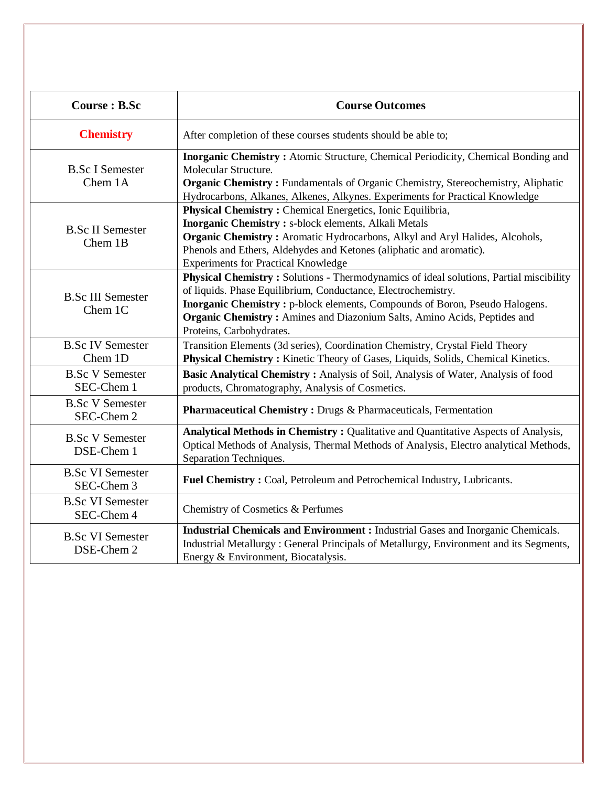| <b>Course: B.Sc</b>                   | <b>Course Outcomes</b>                                                                                                                                                                                                                                                                                                                         |
|---------------------------------------|------------------------------------------------------------------------------------------------------------------------------------------------------------------------------------------------------------------------------------------------------------------------------------------------------------------------------------------------|
| <b>Chemistry</b>                      | After completion of these courses students should be able to;                                                                                                                                                                                                                                                                                  |
| <b>B.Sc I Semester</b><br>Chem 1A     | Inorganic Chemistry: Atomic Structure, Chemical Periodicity, Chemical Bonding and<br>Molecular Structure.<br><b>Organic Chemistry:</b> Fundamentals of Organic Chemistry, Stereochemistry, Aliphatic<br>Hydrocarbons, Alkanes, Alkenes, Alkynes. Experiments for Practical Knowledge                                                           |
| <b>B.Sc II Semester</b><br>Chem 1B    | <b>Physical Chemistry: Chemical Energetics, Ionic Equilibria,</b><br><b>Inorganic Chemistry:</b> s-block elements, Alkali Metals<br><b>Organic Chemistry:</b> Aromatic Hydrocarbons, Alkyl and Aryl Halides, Alcohols,<br>Phenols and Ethers, Aldehydes and Ketones (aliphatic and aromatic).<br><b>Experiments for Practical Knowledge</b>    |
| <b>B.Sc III Semester</b><br>Chem 1C   | Physical Chemistry: Solutions - Thermodynamics of ideal solutions, Partial miscibility<br>of liquids. Phase Equilibrium, Conductance, Electrochemistry.<br>Inorganic Chemistry: p-block elements, Compounds of Boron, Pseudo Halogens.<br>Organic Chemistry: Amines and Diazonium Salts, Amino Acids, Peptides and<br>Proteins, Carbohydrates. |
| <b>B.Sc IV Semester</b><br>Chem 1D    | Transition Elements (3d series), Coordination Chemistry, Crystal Field Theory<br>Physical Chemistry: Kinetic Theory of Gases, Liquids, Solids, Chemical Kinetics.                                                                                                                                                                              |
| <b>B.Sc V Semester</b><br>SEC-Chem 1  | Basic Analytical Chemistry: Analysis of Soil, Analysis of Water, Analysis of food<br>products, Chromatography, Analysis of Cosmetics.                                                                                                                                                                                                          |
| <b>B.Sc V Semester</b><br>SEC-Chem 2  | Pharmaceutical Chemistry: Drugs & Pharmaceuticals, Fermentation                                                                                                                                                                                                                                                                                |
| <b>B.Sc V Semester</b><br>DSE-Chem 1  | Analytical Methods in Chemistry: Qualitative and Quantitative Aspects of Analysis,<br>Optical Methods of Analysis, Thermal Methods of Analysis, Electro analytical Methods,<br>Separation Techniques.                                                                                                                                          |
| <b>B.Sc VI Semester</b><br>SEC-Chem 3 | Fuel Chemistry: Coal, Petroleum and Petrochemical Industry, Lubricants.                                                                                                                                                                                                                                                                        |
| <b>B.Sc VI Semester</b><br>SEC-Chem 4 | Chemistry of Cosmetics & Perfumes                                                                                                                                                                                                                                                                                                              |
| <b>B.Sc VI Semester</b><br>DSE-Chem 2 | <b>Industrial Chemicals and Environment : Industrial Gases and Inorganic Chemicals.</b><br>Industrial Metallurgy: General Principals of Metallurgy, Environment and its Segments,<br>Energy & Environment, Biocatalysis.                                                                                                                       |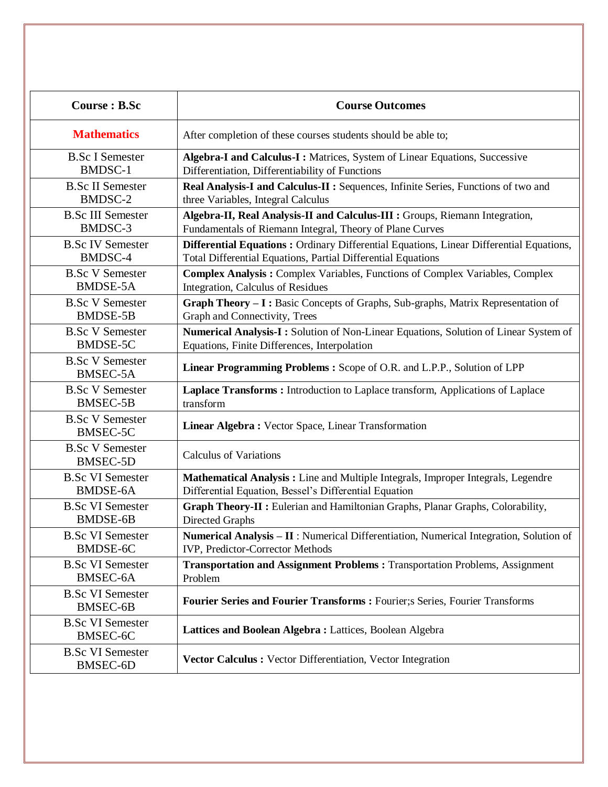| Course : B.Sc                              | <b>Course Outcomes</b>                                                                  |
|--------------------------------------------|-----------------------------------------------------------------------------------------|
| <b>Mathematics</b>                         | After completion of these courses students should be able to;                           |
| <b>B.Sc I Semester</b>                     | Algebra-I and Calculus-I: Matrices, System of Linear Equations, Successive              |
| <b>BMDSC-1</b>                             | Differentiation, Differentiability of Functions                                         |
| <b>B.Sc II Semester</b>                    | Real Analysis-I and Calculus-II : Sequences, Infinite Series, Functions of two and      |
| BMDSC-2                                    | three Variables, Integral Calculus                                                      |
| <b>B.Sc III Semester</b>                   | Algebra-II, Real Analysis-II and Calculus-III : Groups, Riemann Integration,            |
| BMDSC-3                                    | Fundamentals of Riemann Integral, Theory of Plane Curves                                |
| <b>B.Sc IV Semester</b>                    | Differential Equations: Ordinary Differential Equations, Linear Differential Equations, |
| BMDSC-4                                    | Total Differential Equations, Partial Differential Equations                            |
| <b>B.Sc V Semester</b>                     | Complex Analysis: Complex Variables, Functions of Complex Variables, Complex            |
| <b>BMDSE-5A</b>                            | Integration, Calculus of Residues                                                       |
| <b>B.Sc V Semester</b>                     | Graph Theory - I: Basic Concepts of Graphs, Sub-graphs, Matrix Representation of        |
| <b>BMDSE-5B</b>                            | Graph and Connectivity, Trees                                                           |
| <b>B.Sc V Semester</b>                     | Numerical Analysis-I: Solution of Non-Linear Equations, Solution of Linear System of    |
| BMDSE-5C                                   | Equations, Finite Differences, Interpolation                                            |
| <b>B.Sc V Semester</b><br>BMSEC-5A         | Linear Programming Problems: Scope of O.R. and L.P.P., Solution of LPP                  |
| <b>B.Sc V Semester</b>                     | Laplace Transforms: Introduction to Laplace transform, Applications of Laplace          |
| <b>BMSEC-5B</b>                            | transform                                                                               |
| <b>B.Sc V Semester</b><br><b>BMSEC-5C</b>  | Linear Algebra: Vector Space, Linear Transformation                                     |
| <b>B.Sc V Semester</b><br><b>BMSEC-5D</b>  | <b>Calculus of Variations</b>                                                           |
| <b>B.Sc VI Semester</b>                    | Mathematical Analysis: Line and Multiple Integrals, Improper Integrals, Legendre        |
| <b>BMDSE-6A</b>                            | Differential Equation, Bessel's Differential Equation                                   |
| <b>B.Sc VI Semester</b>                    | Graph Theory-II : Eulerian and Hamiltonian Graphs, Planar Graphs, Colorability,         |
| <b>BMDSE-6B</b>                            | Directed Graphs                                                                         |
| <b>B.Sc VI Semester</b>                    | Numerical Analysis - II : Numerical Differentiation, Numerical Integration, Solution of |
| BMDSE-6C                                   | IVP, Predictor-Corrector Methods                                                        |
| <b>B.Sc VI Semester</b>                    | Transportation and Assignment Problems : Transportation Problems, Assignment            |
| BMSEC-6A                                   | Problem                                                                                 |
| <b>B.Sc VI Semester</b><br><b>BMSEC-6B</b> | Fourier Series and Fourier Transforms : Fourier; s Series, Fourier Transforms           |
| <b>B.Sc VI Semester</b><br>BMSEC-6C        | Lattices and Boolean Algebra: Lattices, Boolean Algebra                                 |
| <b>B.Sc VI Semester</b><br><b>BMSEC-6D</b> | Vector Calculus : Vector Differentiation, Vector Integration                            |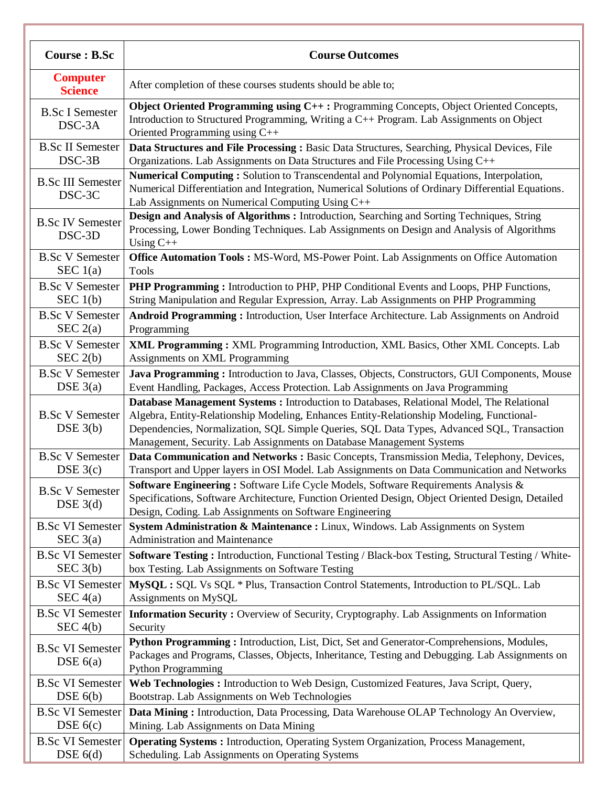| <b>Course : B.Sc</b>                  | <b>Course Outcomes</b>                                                                                                                                                                                                                                                                                                                                       |
|---------------------------------------|--------------------------------------------------------------------------------------------------------------------------------------------------------------------------------------------------------------------------------------------------------------------------------------------------------------------------------------------------------------|
| <b>Computer</b><br><b>Science</b>     | After completion of these courses students should be able to;                                                                                                                                                                                                                                                                                                |
| <b>B.Sc I Semester</b><br>DSC-3A      | Object Oriented Programming using C++: Programming Concepts, Object Oriented Concepts,<br>Introduction to Structured Programming, Writing a C++ Program. Lab Assignments on Object<br>Oriented Programming using C++                                                                                                                                         |
| <b>B.Sc II Semester</b>               | Data Structures and File Processing: Basic Data Structures, Searching, Physical Devices, File                                                                                                                                                                                                                                                                |
| DSC-3B                                | Organizations. Lab Assignments on Data Structures and File Processing Using C++                                                                                                                                                                                                                                                                              |
| <b>B.Sc III Semester</b><br>DSC-3C    | Numerical Computing: Solution to Transcendental and Polynomial Equations, Interpolation,<br>Numerical Differentiation and Integration, Numerical Solutions of Ordinary Differential Equations.<br>Lab Assignments on Numerical Computing Using C++                                                                                                           |
| <b>B.Sc IV Semester</b><br>DSC-3D     | Design and Analysis of Algorithms: Introduction, Searching and Sorting Techniques, String<br>Processing, Lower Bonding Techniques. Lab Assignments on Design and Analysis of Algorithms<br>Using $C++$                                                                                                                                                       |
| <b>B.Sc V Semester</b>                | Office Automation Tools: MS-Word, MS-Power Point. Lab Assignments on Office Automation                                                                                                                                                                                                                                                                       |
| SEC $1(a)$                            | Tools                                                                                                                                                                                                                                                                                                                                                        |
| <b>B.Sc V Semester</b>                | PHP Programming: Introduction to PHP, PHP Conditional Events and Loops, PHP Functions,                                                                                                                                                                                                                                                                       |
| SEC $1(b)$                            | String Manipulation and Regular Expression, Array. Lab Assignments on PHP Programming                                                                                                                                                                                                                                                                        |
| <b>B.Sc V Semester</b>                | Android Programming: Introduction, User Interface Architecture. Lab Assignments on Android                                                                                                                                                                                                                                                                   |
| SEC $2(a)$                            | Programming                                                                                                                                                                                                                                                                                                                                                  |
| <b>B.Sc V Semester</b>                | XML Programming : XML Programming Introduction, XML Basics, Other XML Concepts. Lab                                                                                                                                                                                                                                                                          |
| SEC 2(b)                              | Assignments on XML Programming                                                                                                                                                                                                                                                                                                                               |
| <b>B.Sc V Semester</b>                | Java Programming: Introduction to Java, Classes, Objects, Constructors, GUI Components, Mouse                                                                                                                                                                                                                                                                |
| DSE $3(a)$                            | Event Handling, Packages, Access Protection. Lab Assignments on Java Programming                                                                                                                                                                                                                                                                             |
| <b>B.Sc V Semester</b><br>DSE $3(b)$  | Database Management Systems : Introduction to Databases, Relational Model, The Relational<br>Algebra, Entity-Relationship Modeling, Enhances Entity-Relationship Modeling, Functional-<br>Dependencies, Normalization, SQL Simple Queries, SQL Data Types, Advanced SQL, Transaction<br>Management, Security. Lab Assignments on Database Management Systems |
| <b>B.Sc V Semester</b>                | Data Communication and Networks : Basic Concepts, Transmission Media, Telephony, Devices,                                                                                                                                                                                                                                                                    |
| DSE $3(c)$                            | Transport and Upper layers in OSI Model. Lab Assignments on Data Communication and Networks                                                                                                                                                                                                                                                                  |
| <b>B.Sc V Semester</b><br>DSE $3(d)$  | <b>Software Engineering:</b> Software Life Cycle Models, Software Requirements Analysis &<br>Specifications, Software Architecture, Function Oriented Design, Object Oriented Design, Detailed<br>Design, Coding. Lab Assignments on Software Engineering                                                                                                    |
| <b>B.Sc VI Semester</b>               | System Administration & Maintenance : Linux, Windows. Lab Assignments on System                                                                                                                                                                                                                                                                              |
| SEC $3(a)$                            | Administration and Maintenance                                                                                                                                                                                                                                                                                                                               |
| <b>B.Sc VI Semester</b>               | Software Testing: Introduction, Functional Testing / Black-box Testing, Structural Testing / White-                                                                                                                                                                                                                                                          |
| SEC 3(b)                              | box Testing. Lab Assignments on Software Testing                                                                                                                                                                                                                                                                                                             |
| <b>B.Sc VI Semester</b>               | MySQL: SQL Vs SQL * Plus, Transaction Control Statements, Introduction to PL/SQL. Lab                                                                                                                                                                                                                                                                        |
| SEC 4(a)                              | Assignments on MySQL                                                                                                                                                                                                                                                                                                                                         |
| <b>B.Sc VI Semester</b>               | <b>Information Security :</b> Overview of Security, Cryptography. Lab Assignments on Information                                                                                                                                                                                                                                                             |
| SEC 4(b)                              | Security                                                                                                                                                                                                                                                                                                                                                     |
| <b>B.Sc VI Semester</b><br>DSE $6(a)$ | Python Programming: Introduction, List, Dict, Set and Generator-Comprehensions, Modules,<br>Packages and Programs, Classes, Objects, Inheritance, Testing and Debugging. Lab Assignments on<br><b>Python Programming</b>                                                                                                                                     |
| <b>B.Sc VI Semester</b>               | Web Technologies: Introduction to Web Design, Customized Features, Java Script, Query,                                                                                                                                                                                                                                                                       |
| DSE $6(b)$                            | Bootstrap. Lab Assignments on Web Technologies                                                                                                                                                                                                                                                                                                               |
| <b>B.Sc VI Semester</b>               | Data Mining: Introduction, Data Processing, Data Warehouse OLAP Technology An Overview,                                                                                                                                                                                                                                                                      |
| DSE $6(c)$                            | Mining. Lab Assignments on Data Mining                                                                                                                                                                                                                                                                                                                       |
| <b>B.Sc VI Semester</b>               | <b>Operating Systems : Introduction, Operating System Organization, Process Management,</b>                                                                                                                                                                                                                                                                  |
| DSE $6(d)$                            | Scheduling. Lab Assignments on Operating Systems                                                                                                                                                                                                                                                                                                             |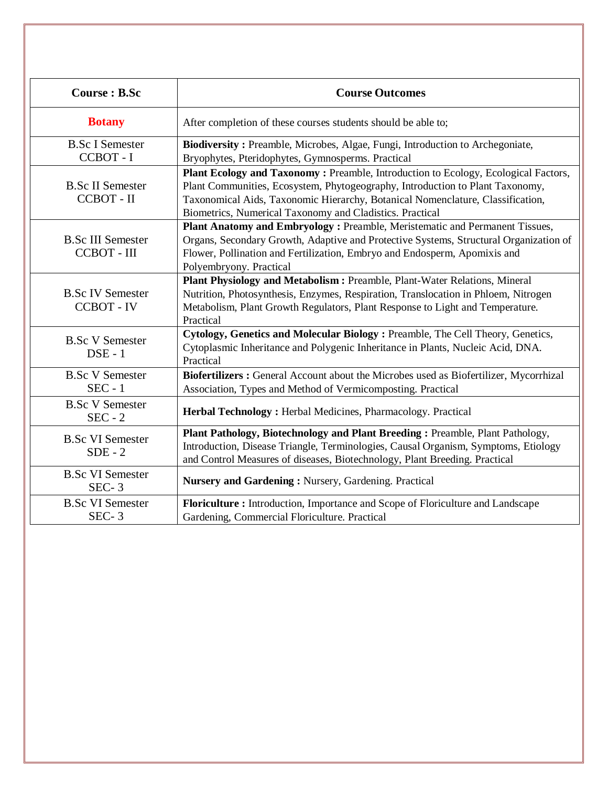| <b>Course : B.Sc</b>                           | <b>Course Outcomes</b>                                                                                                                                                                                                                                                                                            |
|------------------------------------------------|-------------------------------------------------------------------------------------------------------------------------------------------------------------------------------------------------------------------------------------------------------------------------------------------------------------------|
| <b>Botany</b>                                  | After completion of these courses students should be able to;                                                                                                                                                                                                                                                     |
| <b>B.Sc I Semester</b><br>CCBOT - I            | Biodiversity: Preamble, Microbes, Algae, Fungi, Introduction to Archegoniate,<br>Bryophytes, Pteridophytes, Gymnosperms. Practical                                                                                                                                                                                |
| <b>B.Sc II Semester</b><br>CCBOT - II          | Plant Ecology and Taxonomy: Preamble, Introduction to Ecology, Ecological Factors,<br>Plant Communities, Ecosystem, Phytogeography, Introduction to Plant Taxonomy,<br>Taxonomical Aids, Taxonomic Hierarchy, Botanical Nomenclature, Classification,<br>Biometrics, Numerical Taxonomy and Cladistics. Practical |
| <b>B.Sc III Semester</b><br><b>CCBOT - III</b> | Plant Anatomy and Embryology: Preamble, Meristematic and Permanent Tissues,<br>Organs, Secondary Growth, Adaptive and Protective Systems, Structural Organization of<br>Flower, Pollination and Fertilization, Embryo and Endosperm, Apomixis and<br>Polyembryony. Practical                                      |
| <b>B.Sc IV Semester</b><br><b>CCBOT - IV</b>   | Plant Physiology and Metabolism: Preamble, Plant-Water Relations, Mineral<br>Nutrition, Photosynthesis, Enzymes, Respiration, Translocation in Phloem, Nitrogen<br>Metabolism, Plant Growth Regulators, Plant Response to Light and Temperature.<br>Practical                                                     |
| <b>B.Sc V Semester</b><br>$DSE - 1$            | Cytology, Genetics and Molecular Biology: Preamble, The Cell Theory, Genetics,<br>Cytoplasmic Inheritance and Polygenic Inheritance in Plants, Nucleic Acid, DNA.<br>Practical                                                                                                                                    |
| <b>B.Sc V Semester</b><br>$SEC - 1$            | Biofertilizers: General Account about the Microbes used as Biofertilizer, Mycorrhizal<br>Association, Types and Method of Vermicomposting. Practical                                                                                                                                                              |
| <b>B.Sc V Semester</b><br>$SEC - 2$            | Herbal Technology: Herbal Medicines, Pharmacology. Practical                                                                                                                                                                                                                                                      |
| <b>B.Sc VI Semester</b><br>$SDE - 2$           | Plant Pathology, Biotechnology and Plant Breeding: Preamble, Plant Pathology,<br>Introduction, Disease Triangle, Terminologies, Causal Organism, Symptoms, Etiology<br>and Control Measures of diseases, Biotechnology, Plant Breeding. Practical                                                                 |
| <b>B.Sc VI Semester</b><br>$SEC-3$             | Nursery and Gardening: Nursery, Gardening. Practical                                                                                                                                                                                                                                                              |
| <b>B.Sc VI Semester</b><br>$SEC-3$             | Floriculture: Introduction, Importance and Scope of Floriculture and Landscape<br>Gardening, Commercial Floriculture. Practical                                                                                                                                                                                   |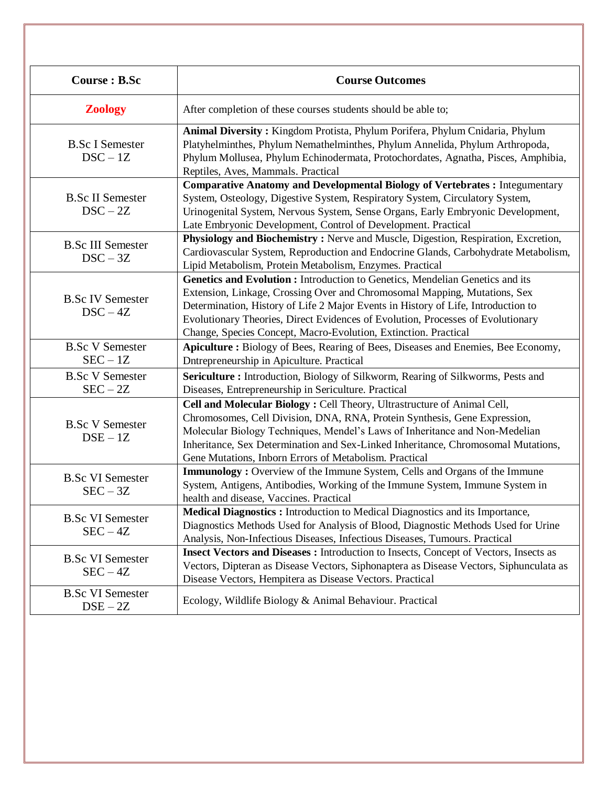| Course : B.Sc                          | <b>Course Outcomes</b>                                                                                                                                                                                                                                                                                                                                                                                |
|----------------------------------------|-------------------------------------------------------------------------------------------------------------------------------------------------------------------------------------------------------------------------------------------------------------------------------------------------------------------------------------------------------------------------------------------------------|
| <b>Zoology</b>                         | After completion of these courses students should be able to;                                                                                                                                                                                                                                                                                                                                         |
| <b>B.Sc I Semester</b><br>$DSC - 1Z$   | Animal Diversity: Kingdom Protista, Phylum Porifera, Phylum Cnidaria, Phylum<br>Platyhelminthes, Phylum Nemathelminthes, Phylum Annelida, Phylum Arthropoda,<br>Phylum Mollusea, Phylum Echinodermata, Protochordates, Agnatha, Pisces, Amphibia,<br>Reptiles, Aves, Mammals. Practical                                                                                                               |
| <b>B.Sc II Semester</b><br>$DSC - 2Z$  | <b>Comparative Anatomy and Developmental Biology of Vertebrates : Integumentary</b><br>System, Osteology, Digestive System, Respiratory System, Circulatory System,<br>Urinogenital System, Nervous System, Sense Organs, Early Embryonic Development,<br>Late Embryonic Development, Control of Development. Practical                                                                               |
| <b>B.Sc III Semester</b><br>$DSC - 3Z$ | Physiology and Biochemistry: Nerve and Muscle, Digestion, Respiration, Excretion,<br>Cardiovascular System, Reproduction and Endocrine Glands, Carbohydrate Metabolism,<br>Lipid Metabolism, Protein Metabolism, Enzymes. Practical                                                                                                                                                                   |
| <b>B.Sc IV Semester</b><br>$DSC - 4Z$  | Genetics and Evolution : Introduction to Genetics, Mendelian Genetics and its<br>Extension, Linkage, Crossing Over and Chromosomal Mapping, Mutations, Sex<br>Determination, History of Life 2 Major Events in History of Life, Introduction to<br>Evolutionary Theories, Direct Evidences of Evolution, Processes of Evolutionary<br>Change, Species Concept, Macro-Evolution, Extinction. Practical |
| <b>B.Sc V Semester</b><br>$SEC - 1Z$   | Apiculture: Biology of Bees, Rearing of Bees, Diseases and Enemies, Bee Economy,<br>Dntrepreneurship in Apiculture. Practical                                                                                                                                                                                                                                                                         |
| <b>B.Sc V Semester</b><br>$SEC - 2Z$   | Sericulture: Introduction, Biology of Silkworm, Rearing of Silkworms, Pests and<br>Diseases, Entrepreneurship in Sericulture. Practical                                                                                                                                                                                                                                                               |
| <b>B.Sc V Semester</b><br>$DSE - 1Z$   | Cell and Molecular Biology : Cell Theory, Ultrastructure of Animal Cell,<br>Chromosomes, Cell Division, DNA, RNA, Protein Synthesis, Gene Expression,<br>Molecular Biology Techniques, Mendel's Laws of Inheritance and Non-Medelian<br>Inheritance, Sex Determination and Sex-Linked Inheritance, Chromosomal Mutations,<br>Gene Mutations, Inborn Errors of Metabolism. Practical                   |
| <b>B.Sc VI Semester</b><br>$SEC - 3Z$  | <b>Immunology</b> : Overview of the Immune System, Cells and Organs of the Immune<br>System, Antigens, Antibodies, Working of the Immune System, Immune System in<br>health and disease, Vaccines. Practical                                                                                                                                                                                          |
| <b>B.Sc VI Semester</b><br>$SEC - 4Z$  | Medical Diagnostics: Introduction to Medical Diagnostics and its Importance,<br>Diagnostics Methods Used for Analysis of Blood, Diagnostic Methods Used for Urine<br>Analysis, Non-Infectious Diseases, Infectious Diseases, Tumours. Practical                                                                                                                                                       |
| <b>B.Sc VI Semester</b><br>$SEC - 4Z$  | Insect Vectors and Diseases : Introduction to Insects, Concept of Vectors, Insects as<br>Vectors, Dipteran as Disease Vectors, Siphonaptera as Disease Vectors, Siphunculata as<br>Disease Vectors, Hempitera as Disease Vectors. Practical                                                                                                                                                           |
| <b>B.Sc VI Semester</b><br>$DSE - 2Z$  | Ecology, Wildlife Biology & Animal Behaviour. Practical                                                                                                                                                                                                                                                                                                                                               |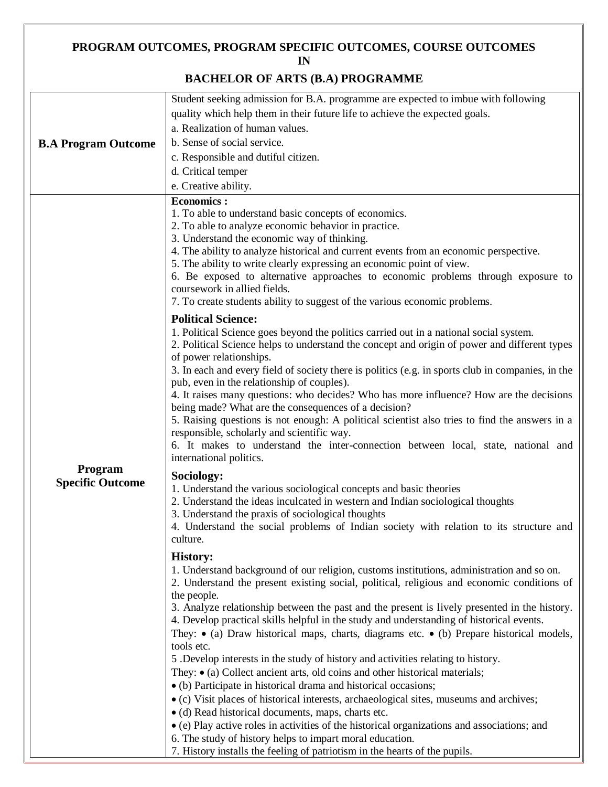#### **PROGRAM OUTCOMES, PROGRAM SPECIFIC OUTCOMES, COURSE OUTCOMES IN**

### **BACHELOR OF ARTS (B.A) PROGRAMME**

|                                    | Student seeking admission for B.A. programme are expected to imbue with following                                                                                                                                                                                                                                                                                                                                                                                                                                                                                                                                                                                                                                                                                                                                                                                                                                                                                                                                                                                                                                                                                                                                                                                                                                                                                                                                                                                                                                                                                                                                                                                                                                                                                                                                                                                                                                                                                                                                                                                                                                                                                                                                                                                                                                                                                                                                                                                                                                                                                                                                                                                                                                                                              |
|------------------------------------|----------------------------------------------------------------------------------------------------------------------------------------------------------------------------------------------------------------------------------------------------------------------------------------------------------------------------------------------------------------------------------------------------------------------------------------------------------------------------------------------------------------------------------------------------------------------------------------------------------------------------------------------------------------------------------------------------------------------------------------------------------------------------------------------------------------------------------------------------------------------------------------------------------------------------------------------------------------------------------------------------------------------------------------------------------------------------------------------------------------------------------------------------------------------------------------------------------------------------------------------------------------------------------------------------------------------------------------------------------------------------------------------------------------------------------------------------------------------------------------------------------------------------------------------------------------------------------------------------------------------------------------------------------------------------------------------------------------------------------------------------------------------------------------------------------------------------------------------------------------------------------------------------------------------------------------------------------------------------------------------------------------------------------------------------------------------------------------------------------------------------------------------------------------------------------------------------------------------------------------------------------------------------------------------------------------------------------------------------------------------------------------------------------------------------------------------------------------------------------------------------------------------------------------------------------------------------------------------------------------------------------------------------------------------------------------------------------------------------------------------------------------|
| <b>B.A Program Outcome</b>         | quality which help them in their future life to achieve the expected goals.                                                                                                                                                                                                                                                                                                                                                                                                                                                                                                                                                                                                                                                                                                                                                                                                                                                                                                                                                                                                                                                                                                                                                                                                                                                                                                                                                                                                                                                                                                                                                                                                                                                                                                                                                                                                                                                                                                                                                                                                                                                                                                                                                                                                                                                                                                                                                                                                                                                                                                                                                                                                                                                                                    |
|                                    | a. Realization of human values.                                                                                                                                                                                                                                                                                                                                                                                                                                                                                                                                                                                                                                                                                                                                                                                                                                                                                                                                                                                                                                                                                                                                                                                                                                                                                                                                                                                                                                                                                                                                                                                                                                                                                                                                                                                                                                                                                                                                                                                                                                                                                                                                                                                                                                                                                                                                                                                                                                                                                                                                                                                                                                                                                                                                |
|                                    | b. Sense of social service.                                                                                                                                                                                                                                                                                                                                                                                                                                                                                                                                                                                                                                                                                                                                                                                                                                                                                                                                                                                                                                                                                                                                                                                                                                                                                                                                                                                                                                                                                                                                                                                                                                                                                                                                                                                                                                                                                                                                                                                                                                                                                                                                                                                                                                                                                                                                                                                                                                                                                                                                                                                                                                                                                                                                    |
|                                    | c. Responsible and dutiful citizen.                                                                                                                                                                                                                                                                                                                                                                                                                                                                                                                                                                                                                                                                                                                                                                                                                                                                                                                                                                                                                                                                                                                                                                                                                                                                                                                                                                                                                                                                                                                                                                                                                                                                                                                                                                                                                                                                                                                                                                                                                                                                                                                                                                                                                                                                                                                                                                                                                                                                                                                                                                                                                                                                                                                            |
|                                    | d. Critical temper                                                                                                                                                                                                                                                                                                                                                                                                                                                                                                                                                                                                                                                                                                                                                                                                                                                                                                                                                                                                                                                                                                                                                                                                                                                                                                                                                                                                                                                                                                                                                                                                                                                                                                                                                                                                                                                                                                                                                                                                                                                                                                                                                                                                                                                                                                                                                                                                                                                                                                                                                                                                                                                                                                                                             |
|                                    | e. Creative ability.                                                                                                                                                                                                                                                                                                                                                                                                                                                                                                                                                                                                                                                                                                                                                                                                                                                                                                                                                                                                                                                                                                                                                                                                                                                                                                                                                                                                                                                                                                                                                                                                                                                                                                                                                                                                                                                                                                                                                                                                                                                                                                                                                                                                                                                                                                                                                                                                                                                                                                                                                                                                                                                                                                                                           |
| Program<br><b>Specific Outcome</b> | <b>Economics:</b><br>1. To able to understand basic concepts of economics.<br>2. To able to analyze economic behavior in practice.<br>3. Understand the economic way of thinking.<br>4. The ability to analyze historical and current events from an economic perspective.<br>5. The ability to write clearly expressing an economic point of view.<br>6. Be exposed to alternative approaches to economic problems through exposure to<br>coursework in allied fields.<br>7. To create students ability to suggest of the various economic problems.<br><b>Political Science:</b><br>1. Political Science goes beyond the politics carried out in a national social system.<br>2. Political Science helps to understand the concept and origin of power and different types<br>of power relationships.<br>3. In each and every field of society there is politics (e.g. in sports club in companies, in the<br>pub, even in the relationship of couples).<br>4. It raises many questions: who decides? Who has more influence? How are the decisions<br>being made? What are the consequences of a decision?<br>5. Raising questions is not enough: A political scientist also tries to find the answers in a<br>responsible, scholarly and scientific way.<br>6. It makes to understand the inter-connection between local, state, national and<br>international politics.<br>Sociology:<br>1. Understand the various sociological concepts and basic theories<br>2. Understand the ideas inculcated in western and Indian sociological thoughts<br>3. Understand the praxis of sociological thoughts<br>4. Understand the social problems of Indian society with relation to its structure and<br>culture.<br><b>History:</b><br>1. Understand background of our religion, customs institutions, administration and so on.<br>2. Understand the present existing social, political, religious and economic conditions of<br>the people.<br>3. Analyze relationship between the past and the present is lively presented in the history.<br>4. Develop practical skills helpful in the study and understanding of historical events.<br>They: $\bullet$ (a) Draw historical maps, charts, diagrams etc. $\bullet$ (b) Prepare historical models,<br>tools etc.<br>5. Develop interests in the study of history and activities relating to history.<br>They: $\bullet$ (a) Collect ancient arts, old coins and other historical materials;<br>• (b) Participate in historical drama and historical occasions;<br>• (c) Visit places of historical interests, archaeological sites, museums and archives;<br>• (d) Read historical documents, maps, charts etc.<br>• (e) Play active roles in activities of the historical organizations and associations; and |
|                                    | 6. The study of history helps to impart moral education.                                                                                                                                                                                                                                                                                                                                                                                                                                                                                                                                                                                                                                                                                                                                                                                                                                                                                                                                                                                                                                                                                                                                                                                                                                                                                                                                                                                                                                                                                                                                                                                                                                                                                                                                                                                                                                                                                                                                                                                                                                                                                                                                                                                                                                                                                                                                                                                                                                                                                                                                                                                                                                                                                                       |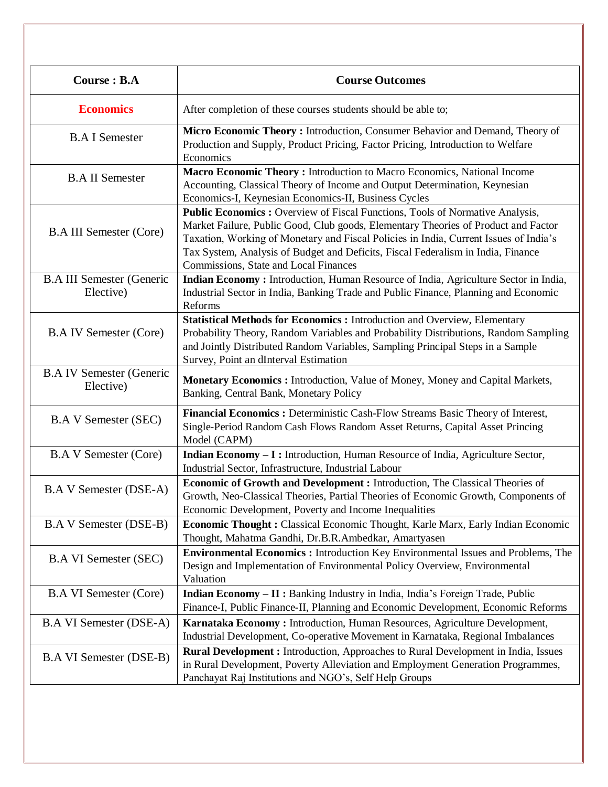| <b>Course: B.A</b>                            | <b>Course Outcomes</b>                                                                                                                                                                                                                                                                                                                                                                   |
|-----------------------------------------------|------------------------------------------------------------------------------------------------------------------------------------------------------------------------------------------------------------------------------------------------------------------------------------------------------------------------------------------------------------------------------------------|
| <b>Economics</b>                              | After completion of these courses students should be able to;                                                                                                                                                                                                                                                                                                                            |
| <b>B.A I Semester</b>                         | Micro Economic Theory: Introduction, Consumer Behavior and Demand, Theory of<br>Production and Supply, Product Pricing, Factor Pricing, Introduction to Welfare<br>Economics                                                                                                                                                                                                             |
| <b>B.A II Semester</b>                        | Macro Economic Theory: Introduction to Macro Economics, National Income<br>Accounting, Classical Theory of Income and Output Determination, Keynesian<br>Economics-I, Keynesian Economics-II, Business Cycles                                                                                                                                                                            |
| <b>B.A III Semester (Core)</b>                | Public Economics: Overview of Fiscal Functions, Tools of Normative Analysis,<br>Market Failure, Public Good, Club goods, Elementary Theories of Product and Factor<br>Taxation, Working of Monetary and Fiscal Policies in India, Current Issues of India's<br>Tax System, Analysis of Budget and Deficits, Fiscal Federalism in India, Finance<br>Commissions, State and Local Finances |
| <b>B.A III Semester (Generic</b><br>Elective) | <b>Indian Economy:</b> Introduction, Human Resource of India, Agriculture Sector in India,<br>Industrial Sector in India, Banking Trade and Public Finance, Planning and Economic<br>Reforms                                                                                                                                                                                             |
| <b>B.A IV Semester (Core)</b>                 | <b>Statistical Methods for Economics: Introduction and Overview, Elementary</b><br>Probability Theory, Random Variables and Probability Distributions, Random Sampling<br>and Jointly Distributed Random Variables, Sampling Principal Steps in a Sample<br>Survey, Point an dInterval Estimation                                                                                        |
| <b>B.A IV Semester (Generic</b><br>Elective)  | <b>Monetary Economics:</b> Introduction, Value of Money, Money and Capital Markets,<br>Banking, Central Bank, Monetary Policy                                                                                                                                                                                                                                                            |
| <b>B.A V Semester (SEC)</b>                   | Financial Economics : Deterministic Cash-Flow Streams Basic Theory of Interest,<br>Single-Period Random Cash Flows Random Asset Returns, Capital Asset Princing<br>Model (CAPM)                                                                                                                                                                                                          |
| <b>B.A V Semester (Core)</b>                  | Indian Economy - I: Introduction, Human Resource of India, Agriculture Sector,<br>Industrial Sector, Infrastructure, Industrial Labour                                                                                                                                                                                                                                                   |
| <b>B.A V Semester (DSE-A)</b>                 | Economic of Growth and Development : Introduction, The Classical Theories of<br>Growth, Neo-Classical Theories, Partial Theories of Economic Growth, Components of<br>Economic Development, Poverty and Income Inequalities                                                                                                                                                              |
| <b>B.A V Semester (DSE-B)</b>                 | <b>Economic Thought:</b> Classical Economic Thought, Karle Marx, Early Indian Economic<br>Thought, Mahatma Gandhi, Dr.B.R.Ambedkar, Amartyasen                                                                                                                                                                                                                                           |
| <b>B.A VI Semester (SEC)</b>                  | <b>Environmental Economics:</b> Introduction Key Environmental Issues and Problems, The<br>Design and Implementation of Environmental Policy Overview, Environmental<br>Valuation                                                                                                                                                                                                        |
| <b>B.A VI Semester (Core)</b>                 | Indian Economy - II : Banking Industry in India, India's Foreign Trade, Public<br>Finance-I, Public Finance-II, Planning and Economic Development, Economic Reforms                                                                                                                                                                                                                      |
| <b>B.A VI Semester (DSE-A)</b>                | Karnataka Economy: Introduction, Human Resources, Agriculture Development,<br>Industrial Development, Co-operative Movement in Karnataka, Regional Imbalances                                                                                                                                                                                                                            |
| <b>B.A VI Semester (DSE-B)</b>                | Rural Development : Introduction, Approaches to Rural Development in India, Issues<br>in Rural Development, Poverty Alleviation and Employment Generation Programmes,<br>Panchayat Raj Institutions and NGO's, Self Help Groups                                                                                                                                                          |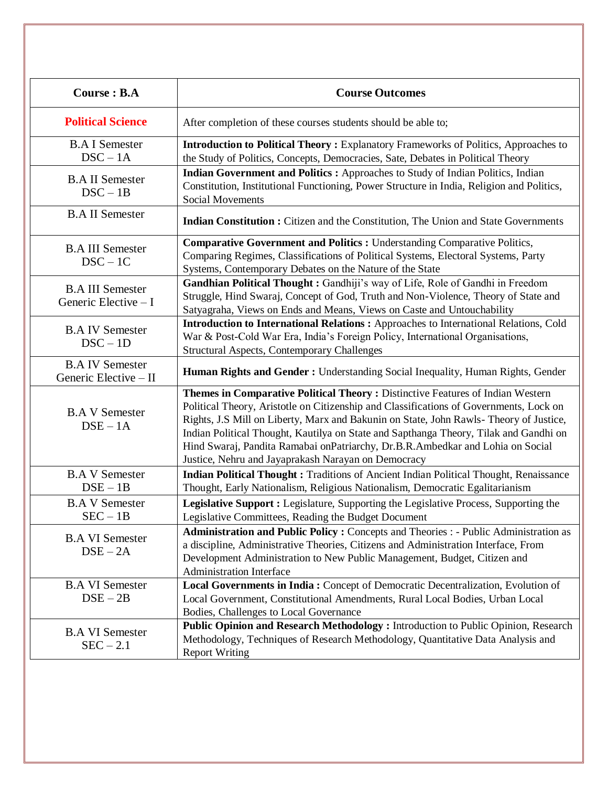| <b>Course: B.A</b>                               | <b>Course Outcomes</b>                                                                                                                                                                                                                                                                                                                                                                                                                                                                               |
|--------------------------------------------------|------------------------------------------------------------------------------------------------------------------------------------------------------------------------------------------------------------------------------------------------------------------------------------------------------------------------------------------------------------------------------------------------------------------------------------------------------------------------------------------------------|
| <b>Political Science</b>                         | After completion of these courses students should be able to;                                                                                                                                                                                                                                                                                                                                                                                                                                        |
| <b>B.A I Semester</b><br>$DSC - 1A$              | Introduction to Political Theory: Explanatory Frameworks of Politics, Approaches to<br>the Study of Politics, Concepts, Democracies, Sate, Debates in Political Theory                                                                                                                                                                                                                                                                                                                               |
| <b>B.A II Semester</b><br>$DSC - 1B$             | Indian Government and Politics : Approaches to Study of Indian Politics, Indian<br>Constitution, Institutional Functioning, Power Structure in India, Religion and Politics,<br><b>Social Movements</b>                                                                                                                                                                                                                                                                                              |
| <b>B.A II Semester</b>                           | <b>Indian Constitution :</b> Citizen and the Constitution, The Union and State Governments                                                                                                                                                                                                                                                                                                                                                                                                           |
| <b>B.A III Semester</b><br>$DSC - 1C$            | <b>Comparative Government and Politics : Understanding Comparative Politics,</b><br>Comparing Regimes, Classifications of Political Systems, Electoral Systems, Party<br>Systems, Contemporary Debates on the Nature of the State                                                                                                                                                                                                                                                                    |
| <b>B.A III Semester</b><br>Generic Elective $-I$ | Gandhian Political Thought: Gandhiji's way of Life, Role of Gandhi in Freedom<br>Struggle, Hind Swaraj, Concept of God, Truth and Non-Violence, Theory of State and<br>Satyagraha, Views on Ends and Means, Views on Caste and Untouchability                                                                                                                                                                                                                                                        |
| <b>B.A IV Semester</b><br>$DSC - 1D$             | <b>Introduction to International Relations:</b> Approaches to International Relations, Cold<br>War & Post-Cold War Era, India's Foreign Policy, International Organisations,<br><b>Structural Aspects, Contemporary Challenges</b>                                                                                                                                                                                                                                                                   |
| <b>B.A IV Semester</b><br>Generic Elective - II  | <b>Human Rights and Gender: Understanding Social Inequality, Human Rights, Gender</b>                                                                                                                                                                                                                                                                                                                                                                                                                |
| <b>B.A V Semester</b><br>$DSE - 1A$              | Themes in Comparative Political Theory: Distinctive Features of Indian Western<br>Political Theory, Aristotle on Citizenship and Classifications of Governments, Lock on<br>Rights, J.S Mill on Liberty, Marx and Bakunin on State, John Rawls- Theory of Justice,<br>Indian Political Thought, Kautilya on State and Sapthanga Theory, Tilak and Gandhi on<br>Hind Swaraj, Pandita Ramabai onPatriarchy, Dr.B.R.Ambedkar and Lohia on Social<br>Justice, Nehru and Jayaprakash Narayan on Democracy |
| <b>B.A V Semester</b><br>$DSE - 1B$              | <b>Indian Political Thought: Traditions of Ancient Indian Political Thought, Renaissance</b><br>Thought, Early Nationalism, Religious Nationalism, Democratic Egalitarianism                                                                                                                                                                                                                                                                                                                         |
| <b>B.A V Semester</b><br>$SEC - 1B$              | Legislative Support : Legislature, Supporting the Legislative Process, Supporting the<br>Legislative Committees, Reading the Budget Document                                                                                                                                                                                                                                                                                                                                                         |
| <b>B.A VI Semester</b><br>$DSE - 2A$             | <b>Administration and Public Policy:</b> Concepts and Theories: - Public Administration as<br>a discipline, Administrative Theories, Citizens and Administration Interface, From<br>Development Administration to New Public Management, Budget, Citizen and<br><b>Administration Interface</b>                                                                                                                                                                                                      |
| <b>B.A VI Semester</b><br>$DSE - 2B$             | Local Governments in India: Concept of Democratic Decentralization, Evolution of<br>Local Government, Constitutional Amendments, Rural Local Bodies, Urban Local<br>Bodies, Challenges to Local Governance                                                                                                                                                                                                                                                                                           |
| <b>B.A VI Semester</b><br>$SEC - 2.1$            | Public Opinion and Research Methodology : Introduction to Public Opinion, Research<br>Methodology, Techniques of Research Methodology, Quantitative Data Analysis and<br><b>Report Writing</b>                                                                                                                                                                                                                                                                                                       |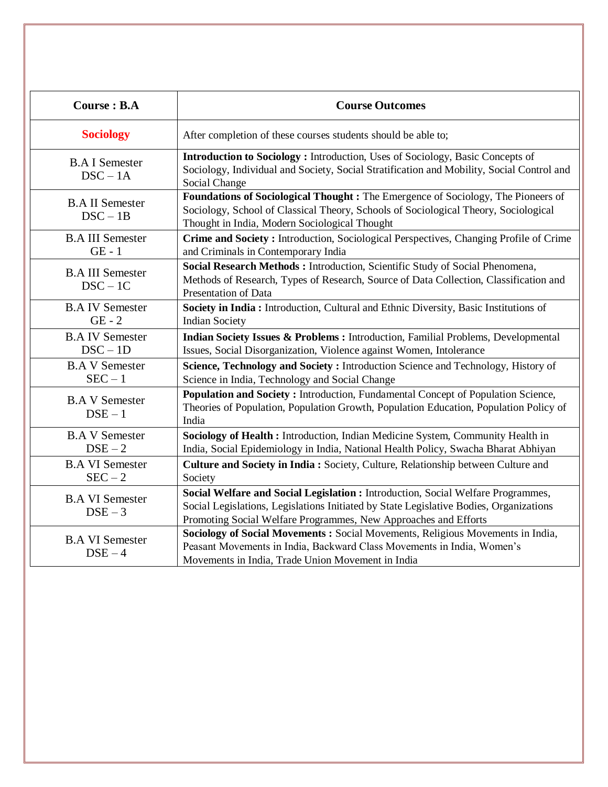| <b>Course: B.A</b>                    | <b>Course Outcomes</b>                                                                                                                                                                                                                        |
|---------------------------------------|-----------------------------------------------------------------------------------------------------------------------------------------------------------------------------------------------------------------------------------------------|
| <b>Sociology</b>                      | After completion of these courses students should be able to;                                                                                                                                                                                 |
| <b>B.A I Semester</b><br>$DSC - 1A$   | Introduction to Sociology: Introduction, Uses of Sociology, Basic Concepts of<br>Sociology, Individual and Society, Social Stratification and Mobility, Social Control and<br>Social Change                                                   |
| <b>B.A II Semester</b><br>$DSC - 1B$  | Foundations of Sociological Thought: The Emergence of Sociology, The Pioneers of<br>Sociology, School of Classical Theory, Schools of Sociological Theory, Sociological<br>Thought in India, Modern Sociological Thought                      |
| <b>B.A III Semester</b><br>$GE - 1$   | Crime and Society: Introduction, Sociological Perspectives, Changing Profile of Crime<br>and Criminals in Contemporary India                                                                                                                  |
| <b>B.A III Semester</b><br>$DSC - 1C$ | Social Research Methods: Introduction, Scientific Study of Social Phenomena,<br>Methods of Research, Types of Research, Source of Data Collection, Classification and<br>Presentation of Data                                                 |
| <b>B.A IV Semester</b><br>$GE - 2$    | Society in India : Introduction, Cultural and Ethnic Diversity, Basic Institutions of<br><b>Indian Society</b>                                                                                                                                |
| <b>B.A IV Semester</b><br>$DSC - 1D$  | <b>Indian Society Issues &amp; Problems:</b> Introduction, Familial Problems, Developmental<br>Issues, Social Disorganization, Violence against Women, Intolerance                                                                            |
| <b>B.A V Semester</b><br>$SEC - 1$    | Science, Technology and Society: Introduction Science and Technology, History of<br>Science in India, Technology and Social Change                                                                                                            |
| <b>B.A V Semester</b><br>$DSE-1$      | Population and Society: Introduction, Fundamental Concept of Population Science,<br>Theories of Population, Population Growth, Population Education, Population Policy of<br>India                                                            |
| <b>B.A V Semester</b><br>$DSE-2$      | Sociology of Health : Introduction, Indian Medicine System, Community Health in<br>India, Social Epidemiology in India, National Health Policy, Swacha Bharat Abhiyan                                                                         |
| <b>B.A VI Semester</b><br>$SEC-2$     | <b>Culture and Society in India: Society, Culture, Relationship between Culture and</b><br>Society                                                                                                                                            |
| <b>B.A VI Semester</b><br>$DSE-3$     | Social Welfare and Social Legislation : Introduction, Social Welfare Programmes,<br>Social Legislations, Legislations Initiated by State Legislative Bodies, Organizations<br>Promoting Social Welfare Programmes, New Approaches and Efforts |
| <b>B.A VI Semester</b><br>$DSE-4$     | Sociology of Social Movements : Social Movements, Religious Movements in India,<br>Peasant Movements in India, Backward Class Movements in India, Women's<br>Movements in India, Trade Union Movement in India                                |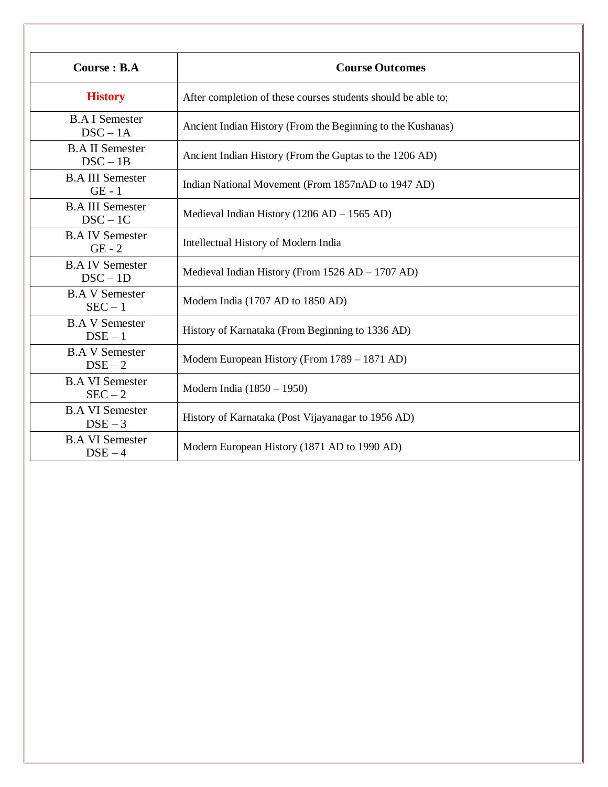| <b>Course: B.A</b>                    | <b>Course Outcomes</b>                                        |
|---------------------------------------|---------------------------------------------------------------|
| <b>History</b>                        | After completion of these courses students should be able to; |
| <b>B.A I Semester</b><br>$DSC - 1A$   | Ancient Indian History (From the Beginning to the Kushanas)   |
| <b>B.A II Semester</b><br>$DSC - 1B$  | Ancient Indian History (From the Guptas to the 1206 AD)       |
| <b>B.A III Semester</b><br>$GE - 1$   | Indian National Movement (From 1857nAD to 1947 AD)            |
| <b>B.A III Semester</b><br>$DSC - 1C$ | Medieval Indian History (1206 AD $-$ 1565 AD)                 |
| <b>B.A IV Semester</b><br>$GE - 2$    | Intellectual History of Modern India                          |
| <b>B.A IV Semester</b><br>$DSC - 1D$  | Medieval Indian History (From 1526 AD – 1707 AD)              |
| <b>B.A V Semester</b><br>$SEC - 1$    | Modern India (1707 AD to 1850 AD)                             |
| <b>B.A V Semester</b><br>$DSE - 1$    | History of Karnataka (From Beginning to 1336 AD)              |
| <b>B.A V Semester</b><br>$DSE-2$      | Modern European History (From 1789 – 1871 AD)                 |
| <b>B.A VI Semester</b><br>$SEC-2$     | Modern India (1850 – 1950)                                    |
| <b>B.A VI Semester</b><br>$DSE-3$     | History of Karnataka (Post Vijayanagar to 1956 AD)            |
| <b>B.A VI Semester</b><br>$DSE-4$     | Modern European History (1871 AD to 1990 AD)                  |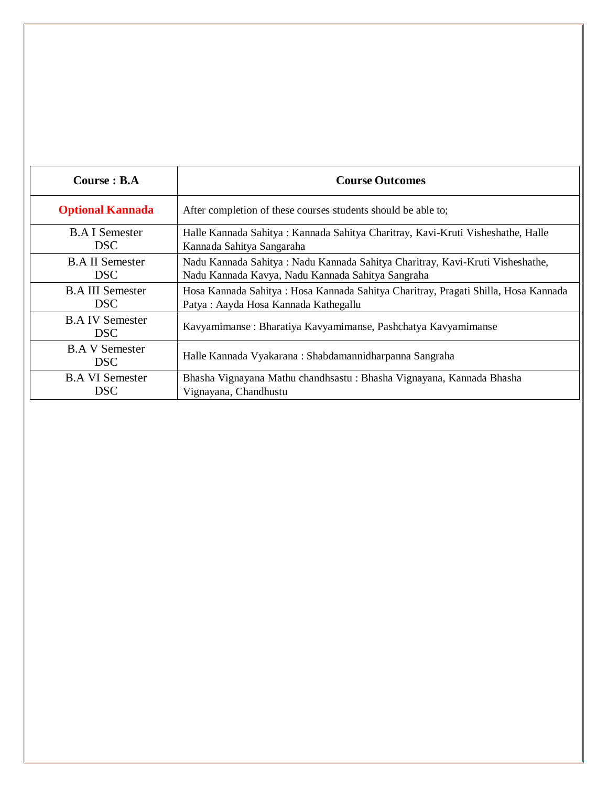| Course : B.A                         | <b>Course Outcomes</b>                                                             |
|--------------------------------------|------------------------------------------------------------------------------------|
| <b>Optional Kannada</b>              | After completion of these courses students should be able to;                      |
| <b>B.A</b> I Semester                | Halle Kannada Sahitya : Kannada Sahitya Charitray, Kavi-Kruti Visheshathe, Halle   |
| DSC.                                 | Kannada Sahitya Sangaraha                                                          |
| <b>B.A.II Semester</b>               | Nadu Kannada Sahitya: Nadu Kannada Sahitya Charitray, Kavi-Kruti Visheshathe,      |
| DSC                                  | Nadu Kannada Kavya, Nadu Kannada Sahitya Sangraha                                  |
| <b>B.A III Semester</b>              | Hosa Kannada Sahitya: Hosa Kannada Sahitya Charitray, Pragati Shilla, Hosa Kannada |
| DSC.                                 | Patya: Aayda Hosa Kannada Kathegallu                                               |
| <b>B.A IV Semester</b><br><b>DSC</b> | Kavyamimanse : Bharatiya Kavyamimanse, Pashchatya Kavyamimanse                     |
| <b>B.A V Semester</b><br><b>DSC</b>  | Halle Kannada Vyakarana : Shabdamannidharpanna Sangraha                            |
| <b>B.A VI Semester</b>               | Bhasha Vignayana Mathu chandhsastu: Bhasha Vignayana, Kannada Bhasha               |
| DSC.                                 | Vignayana, Chandhustu                                                              |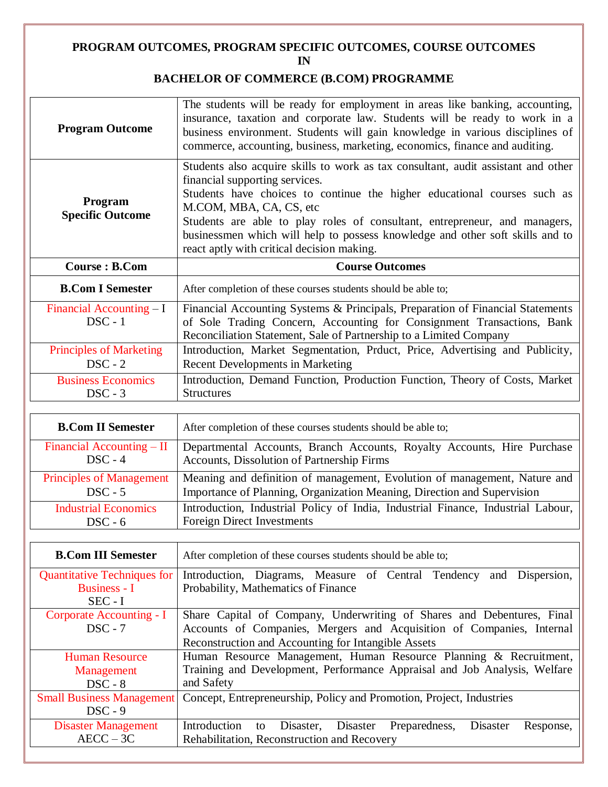#### **PROGRAM OUTCOMES, PROGRAM SPECIFIC OUTCOMES, COURSE OUTCOMES IN**

## **BACHELOR OF COMMERCE (B.COM) PROGRAMME**

| <b>Program Outcome</b>                      | The students will be ready for employment in areas like banking, accounting,<br>insurance, taxation and corporate law. Students will be ready to work in a<br>business environment. Students will gain knowledge in various disciplines of<br>commerce, accounting, business, marketing, economics, finance and auditing.                                                                                                               |
|---------------------------------------------|-----------------------------------------------------------------------------------------------------------------------------------------------------------------------------------------------------------------------------------------------------------------------------------------------------------------------------------------------------------------------------------------------------------------------------------------|
| Program<br><b>Specific Outcome</b>          | Students also acquire skills to work as tax consultant, audit assistant and other<br>financial supporting services.<br>Students have choices to continue the higher educational courses such as<br>M.COM, MBA, CA, CS, etc<br>Students are able to play roles of consultant, entrepreneur, and managers,<br>businessmen which will help to possess knowledge and other soft skills and to<br>react aptly with critical decision making. |
| <b>Course: B.Com</b>                        | <b>Course Outcomes</b>                                                                                                                                                                                                                                                                                                                                                                                                                  |
| <b>B.Com I Semester</b>                     | After completion of these courses students should be able to;                                                                                                                                                                                                                                                                                                                                                                           |
| Financial Accounting $-I$<br>$DSC - 1$      | Financial Accounting Systems & Principals, Preparation of Financial Statements<br>of Sole Trading Concern, Accounting for Consignment Transactions, Bank<br>Reconciliation Statement, Sale of Partnership to a Limited Company                                                                                                                                                                                                          |
|                                             |                                                                                                                                                                                                                                                                                                                                                                                                                                         |
| <b>Principles of Marketing</b><br>$DSC - 2$ | Introduction, Market Segmentation, Prduct, Price, Advertising and Publicity,<br><b>Recent Developments in Marketing</b>                                                                                                                                                                                                                                                                                                                 |

| <b>B.Com II Semester</b>        | After completion of these courses students should be able to;                    |
|---------------------------------|----------------------------------------------------------------------------------|
| Financial Accounting $-$ II     | Departmental Accounts, Branch Accounts, Royalty Accounts, Hire Purchase          |
| $DSC - 4$                       | Accounts, Dissolution of Partnership Firms                                       |
| <b>Principles of Management</b> | Meaning and definition of management, Evolution of management, Nature and        |
| $DSC - 5$                       | Importance of Planning, Organization Meaning, Direction and Supervision          |
| <b>Industrial Economics</b>     | Introduction, Industrial Policy of India, Industrial Finance, Industrial Labour, |
| $DSC - 6$                       | <b>Foreign Direct Investments</b>                                                |

| <b>B.Com III Semester</b>          | After completion of these courses students should be able to;                         |
|------------------------------------|---------------------------------------------------------------------------------------|
| <b>Quantitative Techniques for</b> | Introduction, Diagrams, Measure of Central Tendency<br>and Dispersion,                |
| Business - I                       | Probability, Mathematics of Finance                                                   |
| $SEC - I$                          |                                                                                       |
| Corporate Accounting - I           | Share Capital of Company, Underwriting of Shares and Debentures, Final                |
| $DSC - 7$                          | Accounts of Companies, Mergers and Acquisition of Companies, Internal                 |
|                                    | Reconstruction and Accounting for Intangible Assets                                   |
| <b>Human Resource</b>              | Human Resource Management, Human Resource Planning & Recruitment,                     |
| Management                         | Training and Development, Performance Appraisal and Job Analysis, Welfare             |
| $DSC - 8$                          | and Safety                                                                            |
| <b>Small Business Management</b>   | Concept, Entrepreneurship, Policy and Promotion, Project, Industries                  |
| $DSC - 9$                          |                                                                                       |
| <b>Disaster Management</b>         | Introduction<br>Disaster,<br>Disaster<br>Preparedness,<br>Disaster<br>Response,<br>to |
| $AECC - 3C$                        | Rehabilitation, Reconstruction and Recovery                                           |